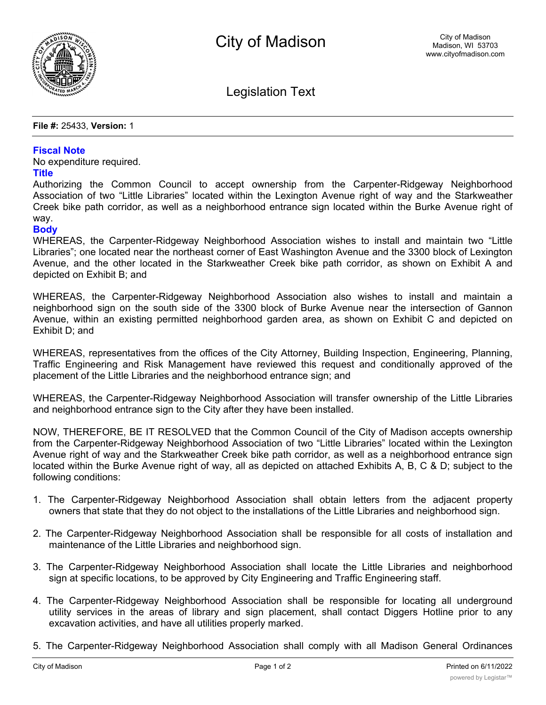

Legislation Text

**File #:** 25433, **Version:** 1

## **Fiscal Note**

No expenditure required.

## **Title**

Authorizing the Common Council to accept ownership from the Carpenter-Ridgeway Neighborhood Association of two "Little Libraries" located within the Lexington Avenue right of way and the Starkweather Creek bike path corridor, as well as a neighborhood entrance sign located within the Burke Avenue right of way.

## **Body**

WHEREAS, the Carpenter-Ridgeway Neighborhood Association wishes to install and maintain two "Little Libraries"; one located near the northeast corner of East Washington Avenue and the 3300 block of Lexington Avenue, and the other located in the Starkweather Creek bike path corridor, as shown on Exhibit A and depicted on Exhibit B; and

WHEREAS, the Carpenter-Ridgeway Neighborhood Association also wishes to install and maintain a neighborhood sign on the south side of the 3300 block of Burke Avenue near the intersection of Gannon Avenue, within an existing permitted neighborhood garden area, as shown on Exhibit C and depicted on Exhibit D; and

WHEREAS, representatives from the offices of the City Attorney, Building Inspection, Engineering, Planning, Traffic Engineering and Risk Management have reviewed this request and conditionally approved of the placement of the Little Libraries and the neighborhood entrance sign; and

WHEREAS, the Carpenter-Ridgeway Neighborhood Association will transfer ownership of the Little Libraries and neighborhood entrance sign to the City after they have been installed.

NOW, THEREFORE, BE IT RESOLVED that the Common Council of the City of Madison accepts ownership from the Carpenter-Ridgeway Neighborhood Association of two "Little Libraries" located within the Lexington Avenue right of way and the Starkweather Creek bike path corridor, as well as a neighborhood entrance sign located within the Burke Avenue right of way, all as depicted on attached Exhibits A, B, C & D; subject to the following conditions:

- 1. The Carpenter-Ridgeway Neighborhood Association shall obtain letters from the adjacent property owners that state that they do not object to the installations of the Little Libraries and neighborhood sign.
- 2. The Carpenter-Ridgeway Neighborhood Association shall be responsible for all costs of installation and maintenance of the Little Libraries and neighborhood sign.
- 3. The Carpenter-Ridgeway Neighborhood Association shall locate the Little Libraries and neighborhood sign at specific locations, to be approved by City Engineering and Traffic Engineering staff.
- 4. The Carpenter-Ridgeway Neighborhood Association shall be responsible for locating all underground utility services in the areas of library and sign placement, shall contact Diggers Hotline prior to any excavation activities, and have all utilities properly marked.
- 5. The Carpenter-Ridgeway Neighborhood Association shall comply with all Madison General Ordinances